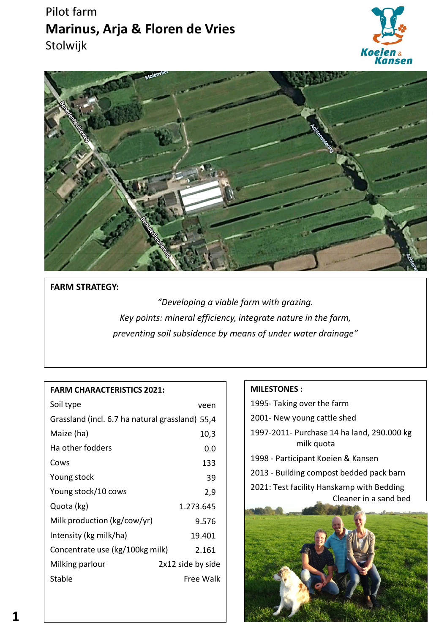# Pilot farm **Marinus, Arja & Floren de Vries** Stolwijk





## **FARM STRATEGY:**

*"Developing a viable farm with grazing. Key points: mineral efficiency, integrate nature in the farm, preventing soil subsidence by means of under water drainage"*

## **FARM CHARACTERISTICS 2021:**

| Soil type                                       | veen              |
|-------------------------------------------------|-------------------|
| Grassland (incl. 6.7 ha natural grassland) 55,4 |                   |
| Maize (ha)                                      | 10,3              |
| Ha other fodders                                | 0.0               |
| Cows                                            | 133               |
| Young stock                                     | 39                |
| Young stock/10 cows                             | 2,9               |
| Quota (kg)                                      | 1.273.645         |
| Milk production (kg/cow/yr)                     | 9.576             |
| Intensity (kg milk/ha)                          | 19.401            |
| Concentrate use (kg/100kg milk)                 | 2.161             |
| Milking parlour                                 | 2x12 side by side |
| Stable                                          | Free Walk         |
|                                                 |                   |

## **MILESTONES :**

1995- Taking over the farm

- 2001- New young cattle shed
- 1997-2011- Purchase 14 ha land, 290.000 kg milk quota
- 1998 Participant Koeien & Kansen
- 2013 Building compost bedded pack barn

2021: Test facility Hanskamp with Bedding Cleaner in a sand bed

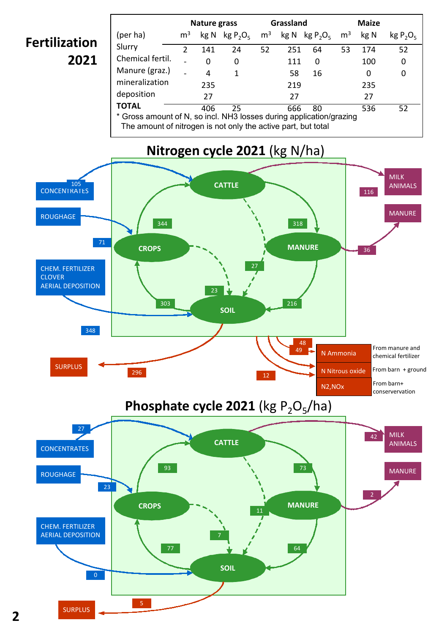# **Fertilization 2021**

|                                                                     | Nature grass   |     | Grassland          |    |                                             | <b>Maize</b> |                |      |             |
|---------------------------------------------------------------------|----------------|-----|--------------------|----|---------------------------------------------|--------------|----------------|------|-------------|
| (per ha)                                                            | m <sup>3</sup> |     | $kg N$ $kg P_2O_5$ |    | $m^3$ kg N kg P <sub>2</sub> O <sub>5</sub> |              | $\mathsf{m}^3$ | kg N | $kg P_2O_5$ |
| Slurry                                                              | $\mathcal{P}$  | 141 | 24                 | 52 | 251                                         | 64           | 53             | 174  | 52          |
| Chemical fertil.                                                    |                | 0   | 0                  |    | 111                                         | 0            |                | 100  | 0           |
| Manure (graz.)                                                      |                | 4   | 1                  |    | 58                                          | 16           |                | 0    | 0           |
| mineralization                                                      |                | 235 |                    |    | 219                                         |              |                | 235  |             |
| deposition                                                          |                | 27  |                    |    | 27                                          |              |                | 27   |             |
| <b>TOTAL</b>                                                        |                | 406 | 25                 |    | 666                                         | 80           |                | 536  | 52          |
| * Gross amount of N, so incl. NH3 losses during application/grazing |                |     |                    |    |                                             |              |                |      |             |

The amount of nitrogen is not only the active part, but total

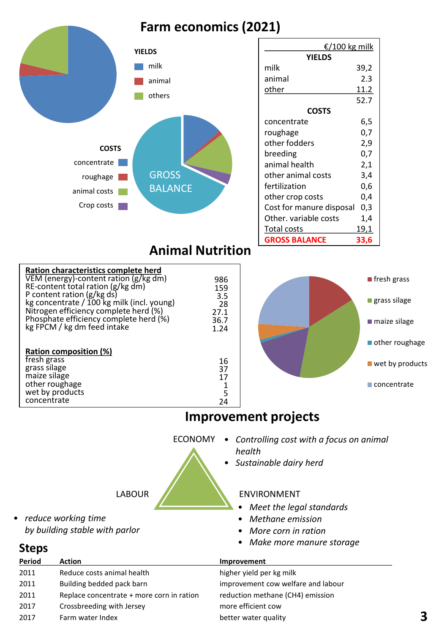# **Farm economics (2021)**



**Steps**

• *reduce working time*

*by building stable with parlor*

| €/100 kg milk            |      |  |  |  |
|--------------------------|------|--|--|--|
| <b>YIELDS</b>            |      |  |  |  |
| milk                     | 39,2 |  |  |  |
| animal                   | 2.3  |  |  |  |
| other                    | 11.2 |  |  |  |
|                          | 52.7 |  |  |  |
| <b>COSTS</b>             |      |  |  |  |
| concentrate              | 6,5  |  |  |  |
| roughage                 | 0,7  |  |  |  |
| other fodders            | 2,9  |  |  |  |
| breeding                 | 0,7  |  |  |  |
| animal health            | 2,1  |  |  |  |
| other animal costs       | 3,4  |  |  |  |
| fertilization            | 0,6  |  |  |  |
| other crop costs         | 0,4  |  |  |  |
| Cost for manure disposal | 0,3  |  |  |  |
| Other, variable costs    | 1,4  |  |  |  |
| <b>Total costs</b>       | 19,1 |  |  |  |
| <b>GROSS BALANCE</b>     | 33,6 |  |  |  |

| Ration characteristics complete herd<br>VEM (energy)-content ration (g/kg dm)<br>RE-content total ration (g/kg dm) | 986<br>159        | <b>T</b> fresh grass           |
|--------------------------------------------------------------------------------------------------------------------|-------------------|--------------------------------|
| P content ration (g/kg ds)<br>kg concentrate / 100 kg milk (incl. young)<br>Nitrogen efficiency complete herd (%)  | 3.5<br>28<br>27.1 | $\blacksquare$ grass silage    |
| Phosphate efficiency complete herd (%)<br>kg FPCM / kg dm feed intake                                              | 36.7<br>1.24      | $\blacksquare$ maize silage    |
|                                                                                                                    |                   | $\blacksquare$ other roughage  |
| <b>Ration composition (%)</b>                                                                                      |                   |                                |
| fresh grass                                                                                                        | 16                | $\blacksquare$ wet by products |
| grass silage                                                                                                       | 37                |                                |
| maize silage                                                                                                       | 17                |                                |
| other roughage                                                                                                     |                   | $\blacksquare$ concentrate     |
| wet by products                                                                                                    | 5                 |                                |
| concentrate                                                                                                        | 24                |                                |

## **Improvement projects**

ECONOMY • *Controlling cost with a focus on animal health* • *Sustainable dairy herd*

### LABOUR KENVIRONMENT

- *Meet the legal standards*
- *Methane emission*
- *More corn in ration*
- *Make more manure storage*

| <b>Period</b> | <b>Action</b>                             | Improvement                        |
|---------------|-------------------------------------------|------------------------------------|
| 2011          | Reduce costs animal health                | higher yield per kg milk           |
| 2011          | Building bedded pack barn                 | improvement cow welfare and labour |
| 2011          | Replace concentrate + more corn in ration | reduction methane (CH4) emission   |
| 2017          | Crossbreeding with Jersey                 | more efficient cow                 |
| 2017          | Farm water Index                          | better water quality               |
|               |                                           |                                    |